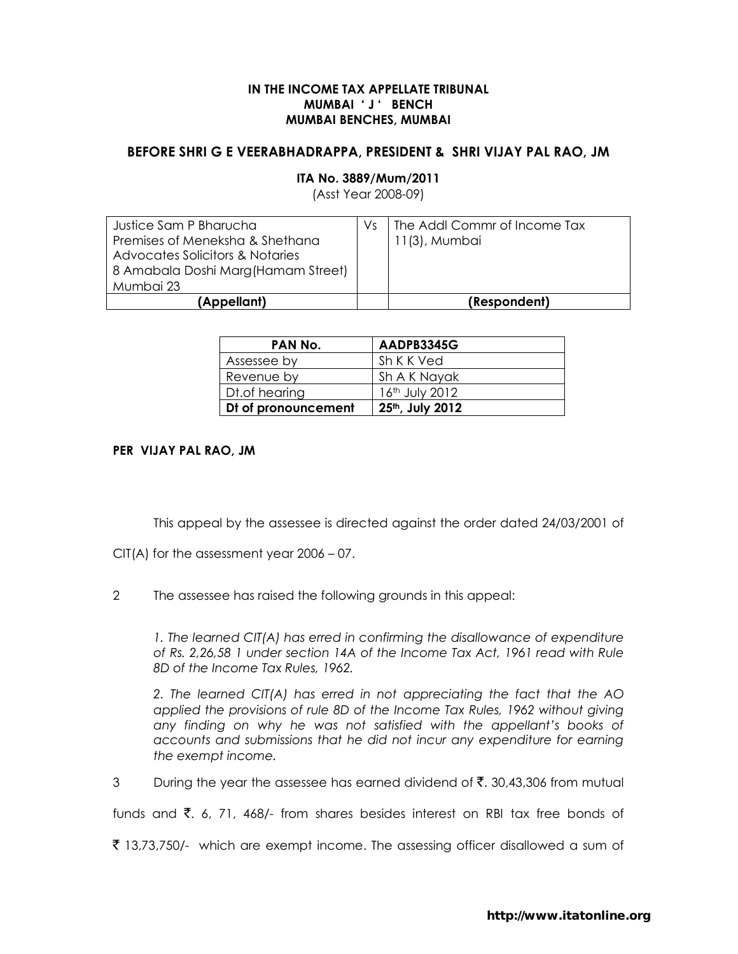## IN THE INCOME TAX APPELLATE TRIBUNAL MUMBAI ' J ' BENCH MUMBAI BENCHES, MUMBAI

## BEFORE SHRI G E VEERABHADRAPPA, PRESIDENT & SHRI VIJAY PAL RAO, JM

# ITA No. 3889/Mum/2011

(Asst Year 2008-09)

| Justice Sam P Bharucha              | Vs | The Addl Commr of Income Tax |
|-------------------------------------|----|------------------------------|
| Premises of Meneksha & Shethana     |    | 11(3), Mumbai                |
| Advocates Solicitors & Notaries     |    |                              |
| 8 Amabala Doshi Marg (Hamam Street) |    |                              |
| Mumbai 23                           |    |                              |
| (Appellant)                         |    | (Respondent)                 |

| PAN No.             | AADPB3345G      |
|---------------------|-----------------|
| Assessee by         | Sh K K Ved      |
| Revenue by          | Sh A K Nayak    |
| Dt.of hearing       | 16th July 2012  |
| Dt of pronouncement | 25th, July 2012 |

## PER VIJAY PAL RAO, JM

This appeal by the assessee is directed against the order dated 24/03/2001 of

CIT(A) for the assessment year 2006 – 07.

2 The assessee has raised the following grounds in this appeal:

1. The learned CIT(A) has erred in confirming the disallowance of expenditure of Rs. 2,26,58 1 under section 14A of the Income Tax Act, 1961 read with Rule 8D of the Income Tax Rules, 1962.

2. The learned CIT(A) has erred in not appreciating the fact that the AO applied the provisions of rule 8D of the Income Tax Rules, 1962 without giving any finding on why he was not satisfied with the appellant's books of accounts and submissions that he did not incur any expenditure for earning the exempt income.

3 During the year the assessee has earned dividend of  $\bar{\mathfrak{c}}$ . 30,43,306 from mutual

funds and  $\bar{\xi}$ , 6, 71, 468/- from shares besides interest on RBI tax free bonds of

₹ 13,73,750/- which are exempt income. The assessing officer disallowed a sum of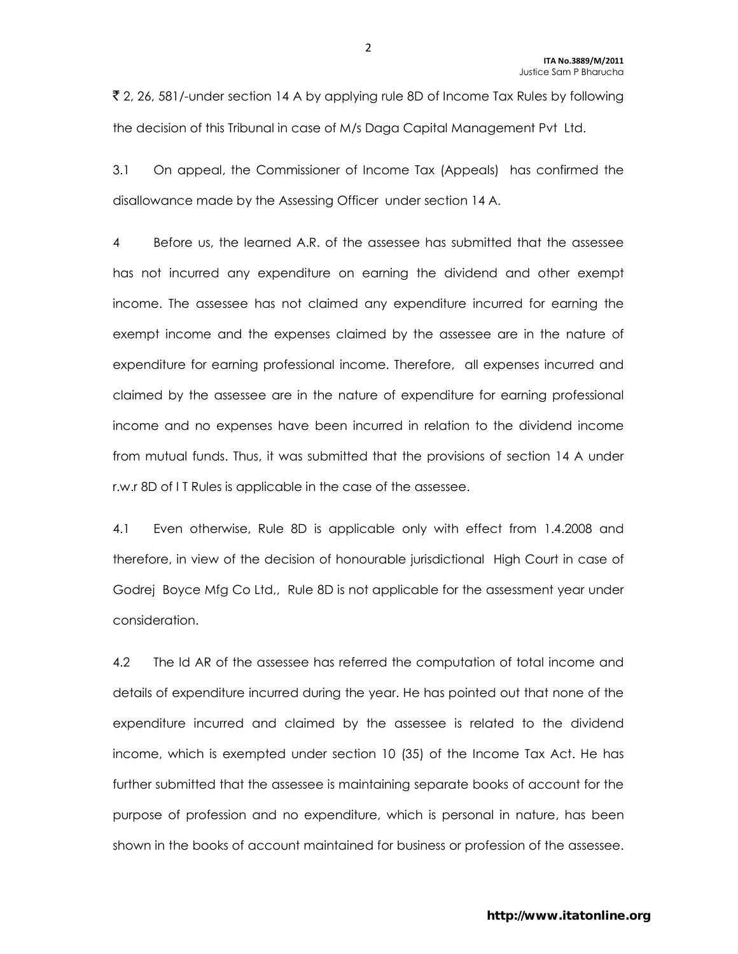₹ 2, 26, 581/-under section 14 A by applying rule 8D of Income Tax Rules by following the decision of this Tribunal in case of M/s Daga Capital Management Pvt Ltd.

3.1 On appeal, the Commissioner of Income Tax (Appeals) has confirmed the disallowance made by the Assessing Officer under section 14 A.

4 Before us, the learned A.R. of the assessee has submitted that the assessee has not incurred any expenditure on earning the dividend and other exempt income. The assessee has not claimed any expenditure incurred for earning the exempt income and the expenses claimed by the assessee are in the nature of expenditure for earning professional income. Therefore, all expenses incurred and claimed by the assessee are in the nature of expenditure for earning professional income and no expenses have been incurred in relation to the dividend income from mutual funds. Thus, it was submitted that the provisions of section 14 A under r.w.r 8D of I T Rules is applicable in the case of the assessee.

4.1 Even otherwise, Rule 8D is applicable only with effect from 1.4.2008 and therefore, in view of the decision of honourable jurisdictional High Court in case of Godrej Boyce Mfg Co Ltd,, Rule 8D is not applicable for the assessment year under consideration.

4.2 The ld AR of the assessee has referred the computation of total income and details of expenditure incurred during the year. He has pointed out that none of the expenditure incurred and claimed by the assessee is related to the dividend income, which is exempted under section 10 (35) of the Income Tax Act. He has further submitted that the assessee is maintaining separate books of account for the purpose of profession and no expenditure, which is personal in nature, has been shown in the books of account maintained for business or profession of the assessee.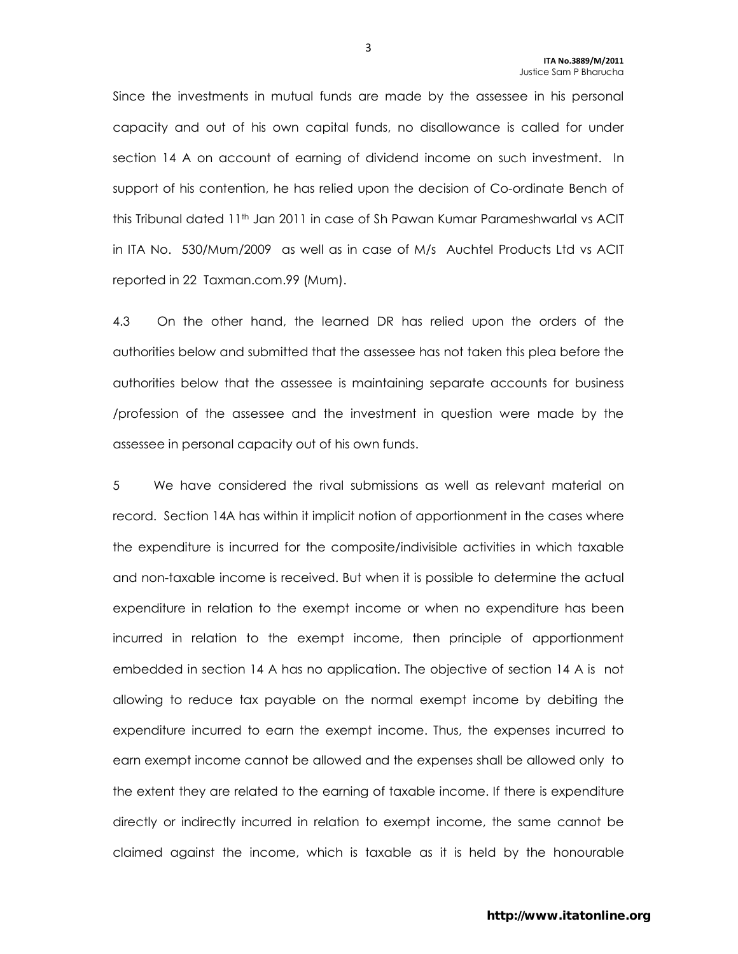Since the investments in mutual funds are made by the assessee in his personal capacity and out of his own capital funds, no disallowance is called for under section 14 A on account of earning of dividend income on such investment. In support of his contention, he has relied upon the decision of Co-ordinate Bench of this Tribunal dated 11th Jan 2011 in case of Sh Pawan Kumar Parameshwarlal vs ACIT in ITA No. 530/Mum/2009 as well as in case of M/s Auchtel Products Ltd vs ACIT reported in 22 Taxman.com.99 (Mum).

4.3 On the other hand, the learned DR has relied upon the orders of the authorities below and submitted that the assessee has not taken this plea before the authorities below that the assessee is maintaining separate accounts for business /profession of the assessee and the investment in question were made by the assessee in personal capacity out of his own funds.

5 We have considered the rival submissions as well as relevant material on record. Section 14A has within it implicit notion of apportionment in the cases where the expenditure is incurred for the composite/indivisible activities in which taxable and non-taxable income is received. But when it is possible to determine the actual expenditure in relation to the exempt income or when no expenditure has been incurred in relation to the exempt income, then principle of apportionment embedded in section 14 A has no application. The objective of section 14 A is not allowing to reduce tax payable on the normal exempt income by debiting the expenditure incurred to earn the exempt income. Thus, the expenses incurred to earn exempt income cannot be allowed and the expenses shall be allowed only to the extent they are related to the earning of taxable income. If there is expenditure directly or indirectly incurred in relation to exempt income, the same cannot be claimed against the income, which is taxable as it is held by the honourable

3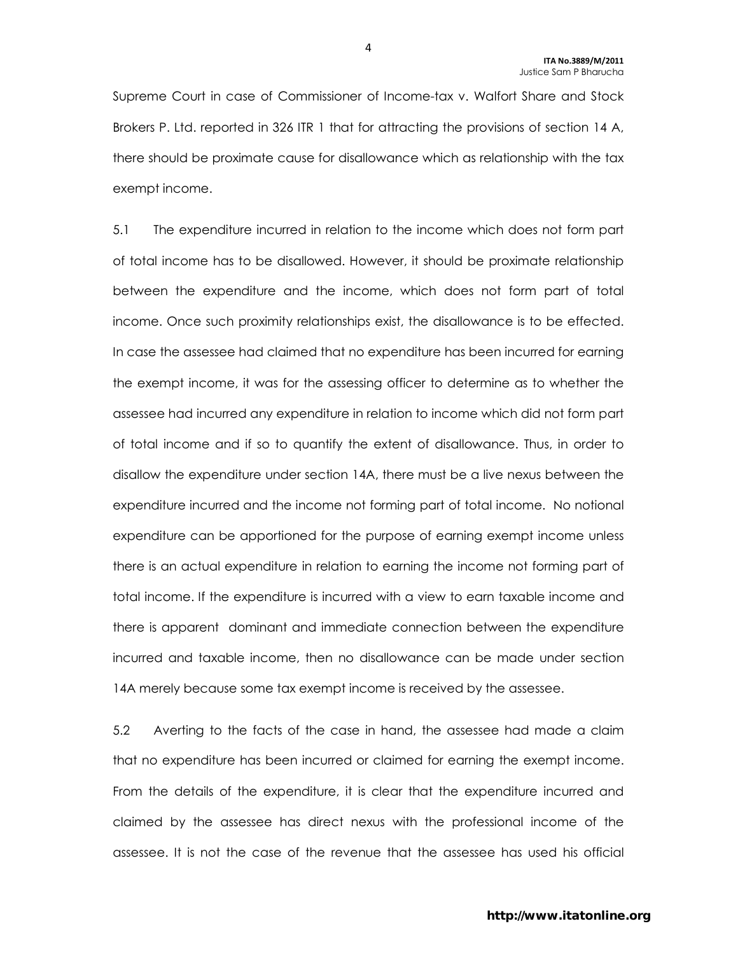Supreme Court in case of Commissioner of Income-tax v. Walfort Share and Stock Brokers P. Ltd. reported in 326 ITR 1 that for attracting the provisions of section 14 A, there should be proximate cause for disallowance which as relationship with the tax exempt income.

5.1 The expenditure incurred in relation to the income which does not form part of total income has to be disallowed. However, it should be proximate relationship between the expenditure and the income, which does not form part of total income. Once such proximity relationships exist, the disallowance is to be effected. In case the assessee had claimed that no expenditure has been incurred for earning the exempt income, it was for the assessing officer to determine as to whether the assessee had incurred any expenditure in relation to income which did not form part of total income and if so to quantify the extent of disallowance. Thus, in order to disallow the expenditure under section 14A, there must be a live nexus between the expenditure incurred and the income not forming part of total income. No notional expenditure can be apportioned for the purpose of earning exempt income unless there is an actual expenditure in relation to earning the income not forming part of total income. If the expenditure is incurred with a view to earn taxable income and there is apparent dominant and immediate connection between the expenditure incurred and taxable income, then no disallowance can be made under section 14A merely because some tax exempt income is received by the assessee.

5.2 Averting to the facts of the case in hand, the assessee had made a claim that no expenditure has been incurred or claimed for earning the exempt income. From the details of the expenditure, it is clear that the expenditure incurred and claimed by the assessee has direct nexus with the professional income of the assessee. It is not the case of the revenue that the assessee has used his official

4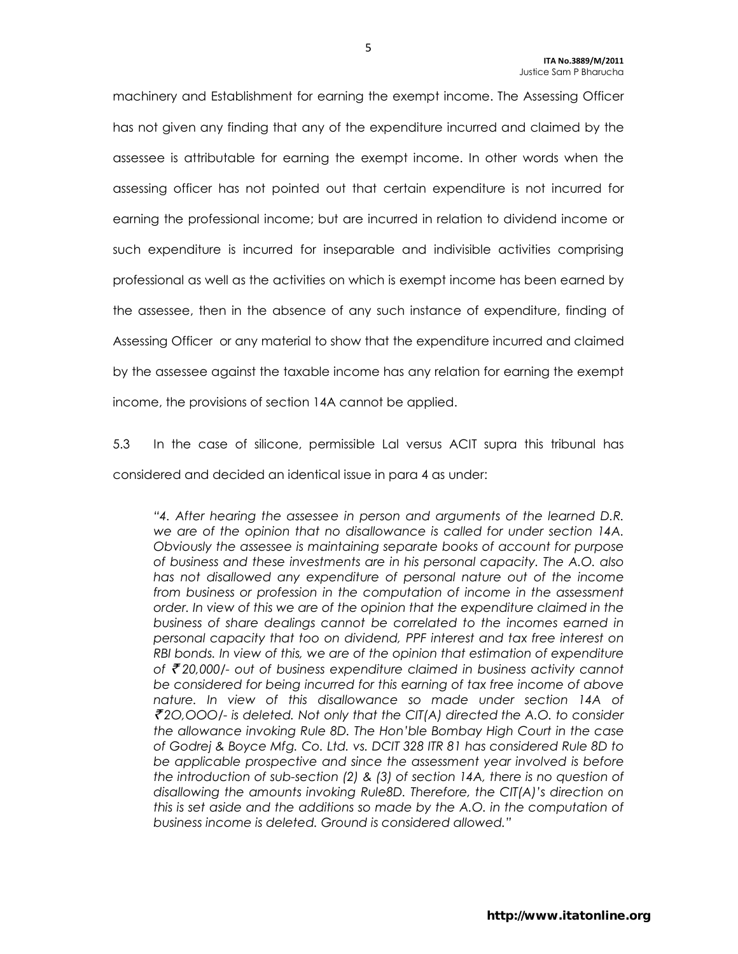machinery and Establishment for earning the exempt income. The Assessing Officer has not given any finding that any of the expenditure incurred and claimed by the assessee is attributable for earning the exempt income. In other words when the assessing officer has not pointed out that certain expenditure is not incurred for earning the professional income; but are incurred in relation to dividend income or such expenditure is incurred for inseparable and indivisible activities comprising professional as well as the activities on which is exempt income has been earned by the assessee, then in the absence of any such instance of expenditure, finding of Assessing Officer or any material to show that the expenditure incurred and claimed by the assessee against the taxable income has any relation for earning the exempt income, the provisions of section 14A cannot be applied.

5.3 In the case of silicone, permissible Lal versus ACIT supra this tribunal has considered and decided an identical issue in para 4 as under:

"4. After hearing the assessee in person and arguments of the learned D.R. we are of the opinion that no disallowance is called for under section 14A. Obviously the assessee is maintaining separate books of account for purpose of business and these investments are in his personal capacity. The A.O. also has not disallowed any expenditure of personal nature out of the income from business or profession in the computation of income in the assessment order. In view of this we are of the opinion that the expenditure claimed in the business of share dealings cannot be correlated to the incomes earned in personal capacity that too on dividend, PPF interest and tax free interest on RBI bonds. In view of this, we are of the opinion that estimation of expenditure of  $\bar{\mathcal{F}}$  20,000/- out of business expenditure claimed in business activity cannot be considered for being incurred for this earning of tax free income of above nature. In view of this disallowance so made under section 14A of  $\bar{\mathcal{F}}$ 2O,OOO/- is deleted. Not only that the CIT(A) directed the A.O. to consider the allowance invoking Rule 8D. The Hon'ble Bombay High Court in the case of Godrej & Boyce Mfg. Co. Ltd. vs. DCIT 328 ITR 81 has considered Rule 8D to be applicable prospective and since the assessment year involved is before the introduction of sub-section (2) & (3) of section 14A, there is no question of disallowing the amounts invoking Rule8D. Therefore, the CIT(A)'s direction on this is set aside and the additions so made by the A.O. in the computation of business income is deleted. Ground is considered allowed."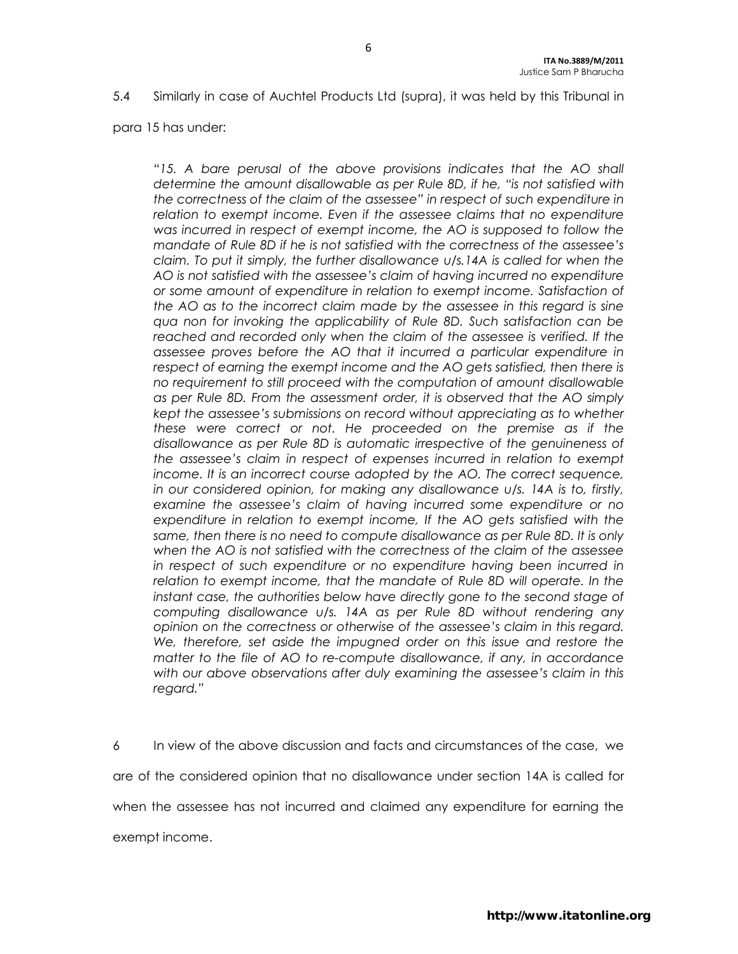5.4 Similarly in case of Auchtel Products Ltd (supra), it was held by this Tribunal in

para 15 has under:

"15. A bare perusal of the above provisions indicates that the AO shall determine the amount disallowable as per Rule 8D, if he, "is not satisfied with the correctness of the claim of the assessee" in respect of such expenditure in relation to exempt income. Even if the assessee claims that no expenditure was incurred in respect of exempt income, the AO is supposed to follow the mandate of Rule 8D if he is not satisfied with the correctness of the assessee's claim. To put it simply, the further disallowance u/s.14A is called for when the AO is not satisfied with the assessee's claim of having incurred no expenditure or some amount of expenditure in relation to exempt income. Satisfaction of the AO as to the incorrect claim made by the assessee in this regard is sine qua non for invoking the applicability of Rule 8D. Such satisfaction can be reached and recorded only when the claim of the assessee is verified. If the assessee proves before the AO that it incurred a particular expenditure in respect of earning the exempt income and the AO gets satisfied, then there is no requirement to still proceed with the computation of amount disallowable as per Rule 8D. From the assessment order, it is observed that the AO simply kept the assessee's submissions on record without appreciating as to whether these were correct or not. He proceeded on the premise as if the disallowance as per Rule 8D is automatic irrespective of the genuineness of the assessee's claim in respect of expenses incurred in relation to exempt income. It is an incorrect course adopted by the AO. The correct sequence, in our considered opinion, for making any disallowance u/s. 14A is to, firstly, examine the assessee's claim of having incurred some expenditure or no expenditure in relation to exempt income, If the AO gets satisfied with the same, then there is no need to compute disallowance as per Rule 8D. It is only when the AO is not satisfied with the correctness of the claim of the assessee in respect of such expenditure or no expenditure having been incurred in relation to exempt income, that the mandate of Rule 8D will operate. In the instant case, the authorities below have directly gone to the second stage of computing disallowance u/s. 14A as per Rule 8D without rendering any opinion on the correctness or otherwise of the assessee's claim in this regard. We, therefore, set aside the impugned order on this issue and restore the matter to the file of AO to re-compute disallowance, if any, in accordance with our above observations after duly examining the assessee's claim in this regard."

6 In view of the above discussion and facts and circumstances of the case, we are of the considered opinion that no disallowance under section 14A is called for when the assessee has not incurred and claimed any expenditure for earning the exempt income.